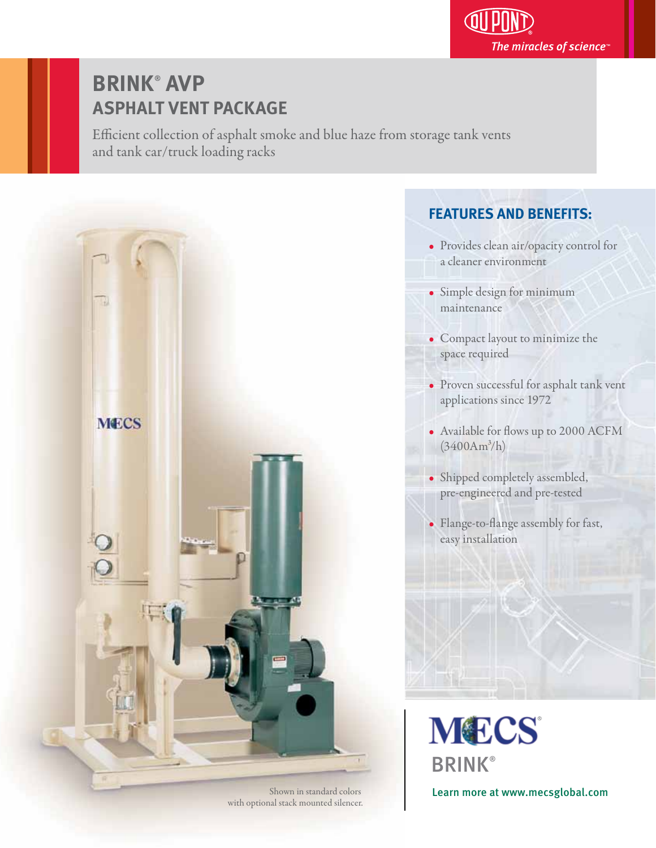

# **BRINK**®  **AVP ASPHALT VENT PACKAGE**

Efficient collection of asphalt smoke and blue haze from storage tank vents and tank car/truck loading racks



Shown in standard colors with optional stack mounted silencer.

# **FEATURES AND BENEFITS:**

- Provides clean air/opacity control for a cleaner environment
- Simple design for minimum maintenance
- Compact layout to minimize the space required
- Proven successful for asphalt tank vent applications since 1972
- Available for flows up to 2000 ACFM  $(3400Am^3/h)$
- Shipped completely assembled, pre-engineered and pre-tested
- Flange-to-flange assembly for fast, easy installation

**MECS BRINK®** 

Learn more at www.mecsglobal.com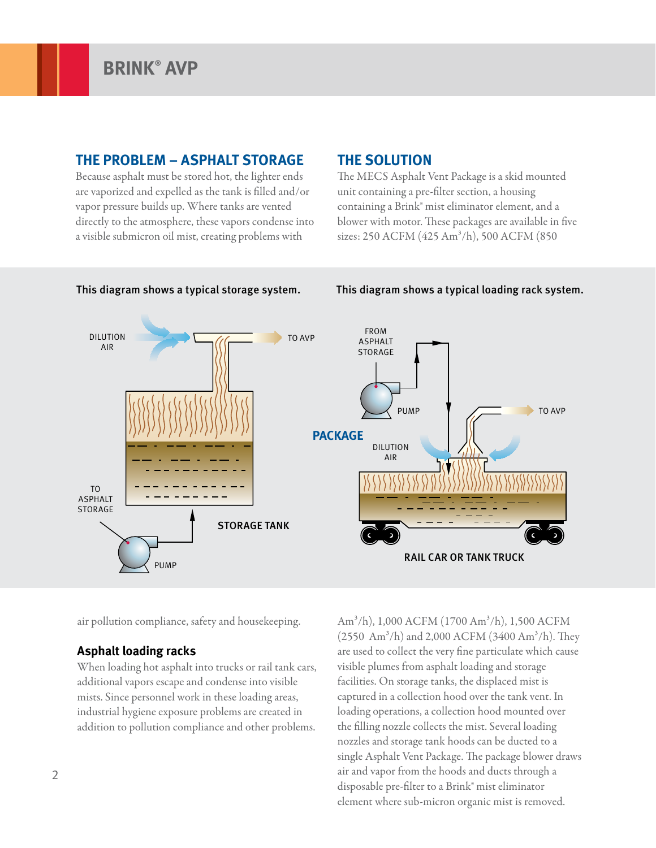## **THE PROBLEM – ASPHALT STORAGE**

Because asphalt must be stored hot, the lighter ends are vaporized and expelled as the tank is filled and/or vapor pressure builds up. Where tanks are vented directly to the atmosphere, these vapors condense into a visible submicron oil mist, creating problems with

# **THE SOLUTION**

The MECS Asphalt Vent Package is a skid mounted unit containing a pre-filter section, a housing containing a Brink® mist eliminator element, and a blower with motor. These packages are available in five sizes: 250 ACFM (425 Am<sup>3</sup>/h), 500 ACFM (850



### This diagram shows a typical storage system. This diagram shows a typical loading rack system.

air pollution compliance, safety and housekeeping.

### **Asphalt loading racks**

When loading hot asphalt into trucks or rail tank cars, additional vapors escape and condense into visible mists. Since personnel work in these loading areas, industrial hygiene exposure problems are created in addition to pollution compliance and other problems.

Am3/h), 1,000 ACFM (1700 Am3/h), 1,500 ACFM  $(2550 \text{ Am}^3/h)$  and 2,000 ACFM  $(3400 \text{ Am}^3/h)$ . They are used to collect the very fine particulate which cause visible plumes from asphalt loading and storage facilities. On storage tanks, the displaced mist is captured in a collection hood over the tank vent. In loading operations, a collection hood mounted over the filling nozzle collects the mist. Several loading nozzles and storage tank hoods can be ducted to a single Asphalt Vent Package. The package blower draws air and vapor from the hoods and ducts through a disposable pre-filter to a Brink® mist eliminator element where sub-micron organic mist is removed.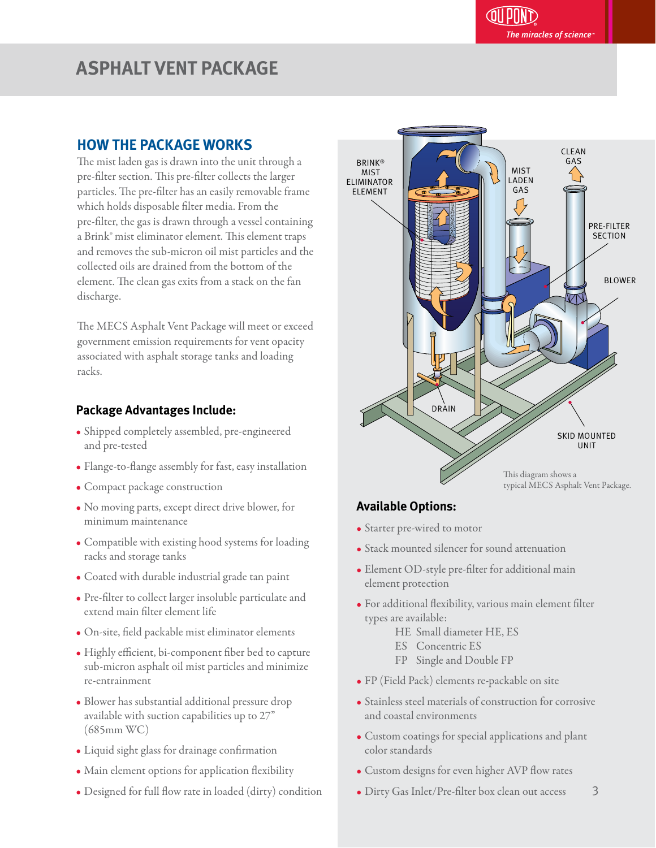# **ASPHALT VENT PACKAGE**

# **HOW THE PACKAGE WORKS**

The mist laden gas is drawn into the unit through a pre-filter section. This pre-filter collects the larger particles. The pre-filter has an easily removable frame which holds disposable filter media. From the pre-filter, the gas is drawn through a vessel containing a Brink® mist eliminator element. This element traps and removes the sub-micron oil mist particles and the collected oils are drained from the bottom of the element. The clean gas exits from a stack on the fan discharge.

The MECS Asphalt Vent Package will meet or exceed government emission requirements for vent opacity associated with asphalt storage tanks and loading racks.

#### **Package Advantages Include:** j

- Shipped completely assembled, pre-engineered and pre-tested
- Flange-to-flange assembly for fast, easy installation
- Compact package construction
- No moving parts, except direct drive blower, for minimum maintenance
- Compatible with existing hood systems for loading racks and storage tanks
- Coated with durable industrial grade tan paint
- Pre-filter to collect larger insoluble particulate and extend main filter element life
- On-site, field packable mist eliminator elements
- Highly efficient, bi-component fiber bed to capture sub-micron asphalt oil mist particles and minimize re-entrainment
- Blower has substantial additional pressure drop available with suction capabilities up to 27" (685mm WC)
- Liquid sight glass for drainage confirmation
- Main element options for application flexibility
- Designed for full flow rate in loaded (dirty) condition



#### **Available Options:** ֕

- Starter pre-wired to motor
- Stack mounted silencer for sound attenuation
- Element OD-style pre-filter for additional main element protection
- For additional flexibility, various main element filter types are available:
	- HE Small diameter HE, ES
	- ES Concentric ES
	- FP Single and Double FP
- FP (Field Pack) elements re-packable on site
- Stainless steel materials of construction for corrosive and coastal environments
- Custom coatings for special applications and plant color standards
- Custom designs for even higher AVP flow rates
- 3 • Dirty Gas Inlet/Pre-filter box clean out access